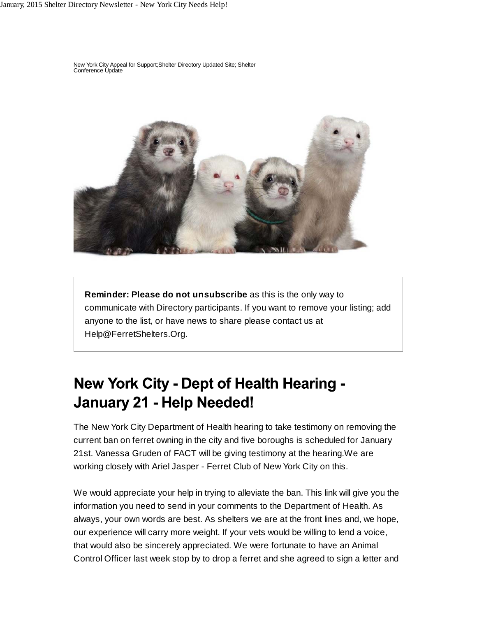New York City Appeal for Support;Shelter Directory Updated Site; Shelter Conference Update



**Reminder: Please do not unsubscribe** as this is the only way to communicate with Directory participants. If you want to remove your listing; add anyone to the list, or have news to share please contact us at Help@FerretShelters.Org.

## **New York City - Dept of Health Hearing -January 21 - Help Needed!**

The New York City Department of Health hearing to take testimony on removing the current ban on ferret owning in the city and five boroughs is scheduled for January 21st. Vanessa Gruden of FACT will be giving testimony at the hearing.We are working closely with Ariel Jasper - Ferret Club of New York City on this.

We would appreciate your help in trying to alleviate the ban. This link will give you the information you need to send in your comments to the Department of Health. As always, your own words are best. As shelters we are at the front lines and, we hope, our experience will carry more weight. If your vets would be willing to lend a voice, that would also be sincerely appreciated. We were fortunate to have an Animal Control Officer last week stop by to drop a ferret and she agreed to sign a letter and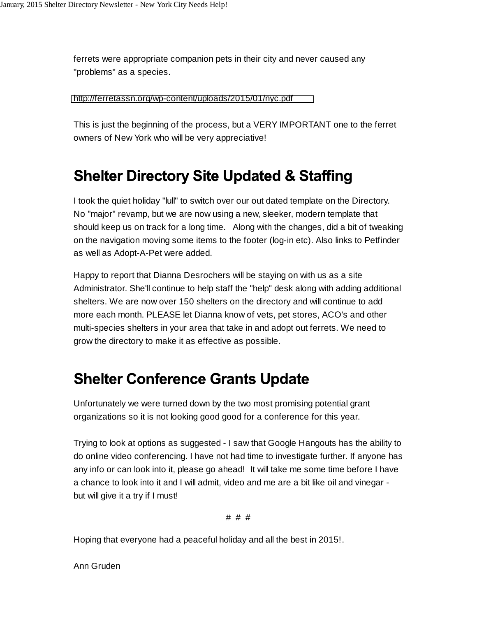ferrets were appropriate companion pets in their city and never caused any "problems" as a species.

<http://ferretassn.org/wp-content/uploads/2015/01/nyc.pdf>

This is just the beginning of the process, but a VERY IMPORTANT one to the ferret owners of New York who will be very appreciative!

## **Shelter Directory Site Updated & Staffing**

I took the quiet holiday "lull" to switch over our out dated template on the Directory. No "major" revamp, but we are now using a new, sleeker, modern template that should keep us on track for a long time. Along with the changes, did a bit of tweaking on the navigation moving some items to the footer (log-in etc). Also links to Petfinder as well as Adopt-A-Pet were added.

Happy to report that Dianna Desrochers will be staying on with us as a site Administrator. She'll continue to help staff the "help" desk along with adding additional shelters. We are now over 150 shelters on the directory and will continue to add more each month. PLEASE let Dianna know of vets, pet stores, ACO's and other multi-species shelters in your area that take in and adopt out ferrets. We need to grow the directory to make it as effective as possible.

## **Shelter Conference Grants Update**

Unfortunately we were turned down by the two most promising potential grant organizations so it is not looking good good for a conference for this year.

Trying to look at options as suggested - I saw that Google Hangouts has the ability to do online video conferencing. I have not had time to investigate further. If anyone has any info or can look into it, please go ahead! It will take me some time before I have a chance to look into it and I will admit, video and me are a bit like oil and vinegar but will give it a try if I must!

# # #

Hoping that everyone had a peaceful holiday and all the best in 2015!.

Ann Gruden